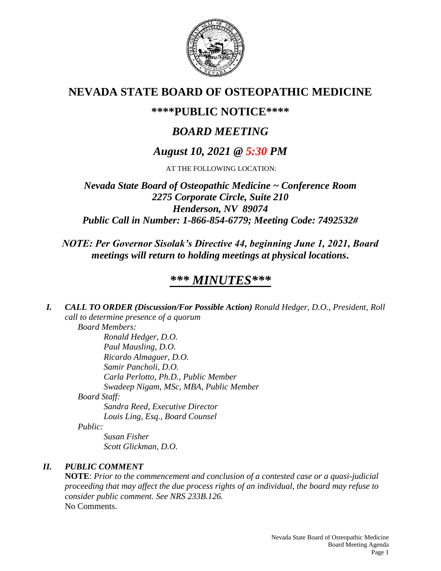

# **NEVADA STATE BOARD OF OSTEOPATHIC MEDICINE**

# **\*\*\*\*PUBLIC NOTICE\*\*\*\***

# *BOARD MEETING*

# *August 10, 2021 @ 5:30 PM*

AT THE FOLLOWING LOCATION:

*Nevada State Board of Osteopathic Medicine ~ Conference Room 2275 Corporate Circle, Suite 210 Henderson, NV 89074 Public Call in Number: 1-866-854-6779; Meeting Code: 7492532#*

*NOTE: Per Governor Sisolak's Directive 44, beginning June 1, 2021, Board meetings will return to holding meetings at physical locations.*

# *\*\*\* MINUTES\*\*\**

*I. CALL TO ORDER (Discussion/For Possible Action) Ronald Hedger, D.O., President, Roll call to determine presence of a quorum Board Members: Ronald Hedger, D.O. Paul Mausling, D.O. Ricardo Almaguer, D.O.*

*Samir Pancholi, D.O.*

*Carla Perlotto, Ph.D., Public Member*

*Swadeep Nigam, MSc, MBA, Public Member*

*Board Staff:*

*Sandra Reed, Executive Director Louis Ling, Esq., Board Counsel*

*Public:*

*Susan Fisher Scott Glickman, D.O.*

# *II. PUBLIC COMMENT*

**NOTE**: *Prior to the commencement and conclusion of a contested case or a quasi-judicial proceeding that may affect the due process rights of an individual, the board may refuse to consider public comment. See NRS 233B.126.* No Comments.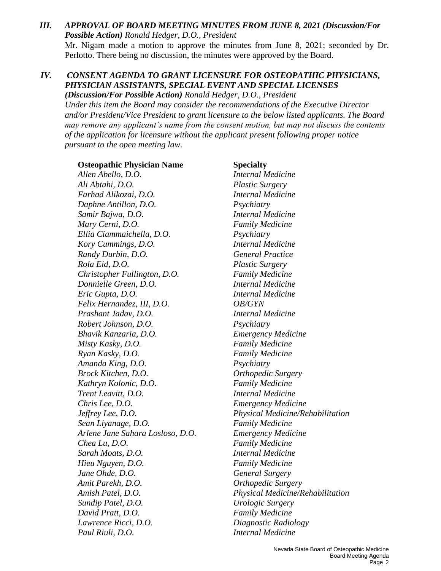## *III. APPROVAL OF BOARD MEETING MINUTES FROM JUNE 8, 2021 (Discussion/For Possible Action) Ronald Hedger, D.O., President*

Mr. Nigam made a motion to approve the minutes from June 8, 2021; seconded by Dr. Perlotto. There being no discussion, the minutes were approved by the Board.

## *IV. CONSENT AGENDA TO GRANT LICENSURE FOR OSTEOPATHIC PHYSICIANS, PHYSICIAN ASSISTANTS, SPECIAL EVENT AND SPECIAL LICENSES*

*(Discussion/For Possible Action) Ronald Hedger, D.O., President Under this item the Board may consider the recommendations of the Executive Director and/or President/Vice President to grant licensure to the below listed applicants. The Board may remove any applicant's name from the consent motion, but may not discuss the contents of the application for licensure without the applicant present following proper notice pursuant to the open meeting law.*

**Osteopathic Physician Name Specialty** *Allen Abello, D.O. Internal Medicine Ali Abtahi, D.O. Plastic Surgery Farhad Alikozai, D.O. Internal Medicine Daphne Antillon, D.O. Psychiatry Samir Bajwa, D.O. Internal Medicine Mary Cerni, D.O. Family Medicine Ellia Ciammaichella, D.O. Psychiatry Kory Cummings, D.O. Internal Medicine Randy Durbin, D.O. General Practice Rola Eid, D.O. Plastic Surgery Christopher Fullington, D.O. Family Medicine Donnielle Green, D.O. Internal Medicine Eric Gupta, D.O. Internal Medicine Felix Hernandez, III, D.O. OB/GYN Prashant Jadav, D.O. Internal Medicine Robert Johnson, D.O. Psychiatry Bhavik Kanzaria, D.O. Emergency Medicine Misty Kasky, D.O. Family Medicine Ryan Kasky, D.O. Family Medicine Amanda King, D.O. Psychiatry Brock Kitchen, D.O. Orthopedic Surgery Kathryn Kolonic, D.O. Family Medicine Trent Leavitt, D.O. Internal Medicine Chris Lee, D.O. Emergency Medicine Jeffrey Lee, D.O. Physical Medicine/Rehabilitation Sean Liyanage, D.O. Family Medicine Arlene Jane Sahara Losloso, D.O. Emergency Medicine Chea Lu, D.O. Family Medicine Sarah Moats, D.O. Internal Medicine Hieu Nguyen, D.O. Family Medicine Jane Ohde, D.O. General Surgery Amit Parekh, D.O. Orthopedic Surgery Amish Patel, D.O. Physical Medicine/Rehabilitation Sundip Patel, D.O. Urologic Surgery David Pratt, D.O. Family Medicine Lawrence Ricci, D.O. Diagnostic Radiology Paul Riuli, D.O. Internal Medicine*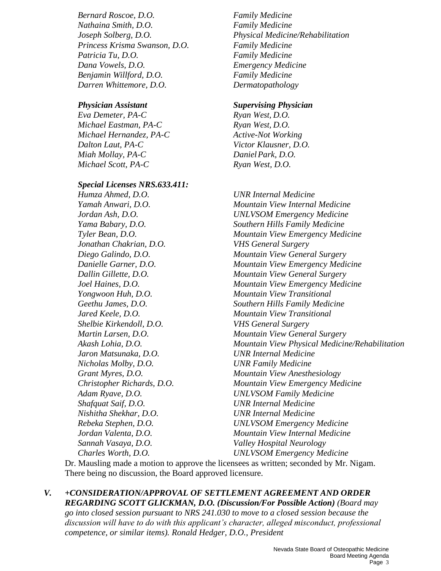*Bernard Roscoe, D.O. Family Medicine Nathaina Smith, D.O. Family Medicine Princess Krisma Swanson, D.O. Family Medicine Patricia Tu, D.O. Family Medicine Dana Vowels, D.O. Emergency Medicine Benjamin Willford, D.O. Family Medicine Darren Whittemore, D.O. Dermatopathology*

*Eva Demeter, PA-C Ryan West, D.O. Michael Eastman, PA-C Ryan West, D.O. Michael Hernandez, PA-C* Active-Not Working *Dalton Laut, PA-C Victor Klausner, D.O. Miah Mollay, PA-C DanielPark, D.O. Michael Scott, PA-C Ryan West, D.O.*

#### *Special Licenses NRS.633.411:*

*Humza Ahmed, D.O. UNR Internal Medicine Jonathan Chakrian, D.O. VHS General Surgery Yongwoon Huh, D.O. Mountain View Transitional Jared Keele, D.O. Mountain View Transitional Shelbie Kirkendoll, D.O. VHS General Surgery Jaron Matsunaka, D.O. UNR Internal Medicine Nicholas Molby, D.O. UNR Family Medicine Adam Ryave, D.O. UNLVSOM Family Medicine Shafquat Saif, D.O. UNR Internal Medicine Nishitha Shekhar, D.O. UNR Internal Medicine Sannah Vasaya, D.O. Valley Hospital Neurology*

*Joseph Solberg, D.O. Physical Medicine/Rehabilitation*

### *Physician Assistant Supervising Physician*

*Yamah Anwari, D.O. Mountain View Internal Medicine Jordan Ash, D.O. UNLVSOM Emergency Medicine Yama Babary, D.O. Southern Hills Family Medicine Tyler Bean, D.O. Mountain View Emergency Medicine Diego Galindo, D.O. Mountain View General Surgery Danielle Garner, D.O. Mountain View Emergency Medicine Dallin Gillette, D.O. Mountain View General Surgery Joel Haines, D.O. Mountain View Emergency Medicine Geethu James, D.O. Southern Hills Family Medicine Martin Larsen, D.O. Mountain View General Surgery Akash Lohia, D.O. Mountain View Physical Medicine/Rehabilitation Grant Myres, D.O. Mountain View Anesthesiology Christopher Richards, D.O. Mountain View Emergency Medicine Rebeka Stephen, D.O. UNLVSOM Emergency Medicine Jordan Valenta, D.O. Mountain View Internal Medicine Charles Worth, D.O. UNLVSOM Emergency Medicine*

Dr. Mausling made a motion to approve the licensees as written; seconded by Mr. Nigam. There being no discussion, the Board approved licensure.

## *V. +CONSIDERATION/APPROVAL OF SETTLEMENT AGREEMENT AND ORDER REGARDING SCOTT GLICKMAN, D.O. (Discussion/For Possible Action) (Board may*

*go into closed session pursuant to NRS 241.030 to move to a closed session because the discussion will have to do with this applicant's character, alleged misconduct, professional competence, or similar items). Ronald Hedger, D.O., President*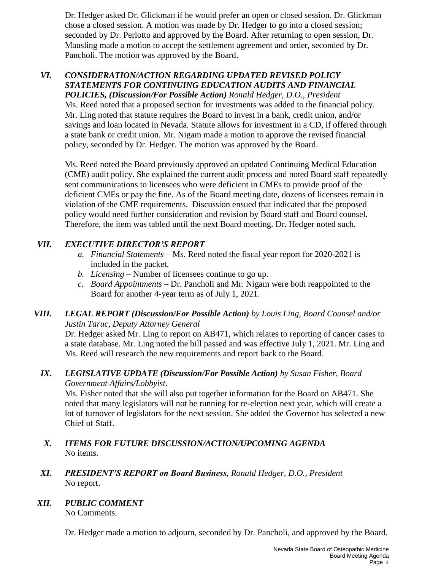Dr. Hedger asked Dr. Glickman if he would prefer an open or closed session. Dr. Glickman chose a closed session. A motion was made by Dr. Hedger to go into a closed session; seconded by Dr. Perlotto and approved by the Board. After returning to open session, Dr. Mausling made a motion to accept the settlement agreement and order, seconded by Dr. Pancholi. The motion was approved by the Board.

# *VI. CONSIDERATION/ACTION REGARDING UPDATED REVISED POLICY STATEMENTS FOR CONTINUING EDUCATION AUDITS AND FINANCIAL*

*POLICIES, (Discussion/For Possible Action) Ronald Hedger, D.O., President* Ms. Reed noted that a proposed section for investments was added to the financial policy. Mr. Ling noted that statute requires the Board to invest in a bank, credit union, and/or savings and loan located in Nevada. Statute allows for investment in a CD, if offered through a state bank or credit union. Mr. Nigam made a motion to approve the revised financial policy, seconded by Dr. Hedger. The motion was approved by the Board.

Ms. Reed noted the Board previously approved an updated Continuing Medical Education (CME) audit policy. She explained the current audit process and noted Board staff repeatedly sent communications to licensees who were deficient in CMEs to provide proof of the deficient CMEs or pay the fine. As of the Board meeting date, dozens of licensees remain in violation of the CME requirements. Discussion ensued that indicated that the proposed policy would need further consideration and revision by Board staff and Board counsel. Therefore, the item was tabled until the next Board meeting. Dr. Hedger noted such.

# *VII. EXECUTIVE DIRECTOR'S REPORT*

- *a. Financial Statements* Ms. Reed noted the fiscal year report for 2020-2021 is included in the packet.
- *b. Licensing* Number of licensees continue to go up.
- *c. Board Appointments* Dr. Pancholi and Mr. Nigam were both reappointed to the Board for another 4-year term as of July 1, 2021.

## *VIII. LEGAL REPORT (Discussion/For Possible Action) by Louis Ling, Board Counsel and/or Justin Taruc, Deputy Attorney General*

Dr. Hedger asked Mr. Ling to report on AB471, which relates to reporting of cancer cases to a state database. Mr. Ling noted the bill passed and was effective July 1, 2021. Mr. Ling and Ms. Reed will research the new requirements and report back to the Board.

## *IX. LEGISLATIVE UPDATE (Discussion/For Possible Action) by Susan Fisher, Board Government Affairs/Lobbyist*.

Ms. Fisher noted that she will also put together information for the Board on AB471. She noted that many legislators will not be running for re-election next year, which will create a lot of turnover of legislators for the next session. She added the Governor has selected a new Chief of Staff.

- *X. ITEMS FOR FUTURE DISCUSSION/ACTION/UPCOMING AGENDA* No items.
- *XI. PRESIDENT'S REPORT on Board Business, Ronald Hedger, D.O., President* No report.

# *XII. PUBLIC COMMENT*

No Comments.

Dr. Hedger made a motion to adjourn, seconded by Dr. Pancholi, and approved by the Board.